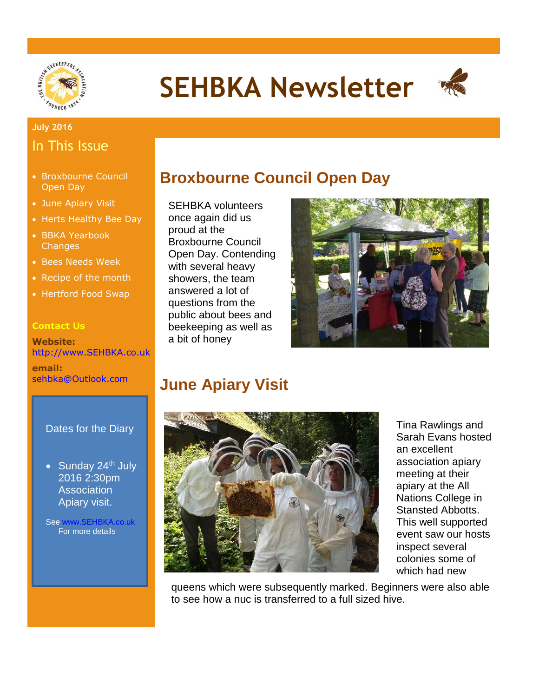

# **SEHBKA Newsletter**



### **July 2016** In This Issue

- Broxbourne Council Open Day
- June Apiary Visit
- Herts Healthy Bee Day
- BBKA Yearbook **Changes**
- Bees Needs Week
- Recipe of the month
- Hertford Food Swap

#### **Contact Us**

**Website:** [http://www.SEHBKA.co.uk](http://www.sehbka.co.uk/)

**email:** [sehbka@Outlook.com](mailto:sehbka@Outlook.com)

#### Dates for the Diary

• Sunday  $24<sup>th</sup>$  July 2016 2:30pm **Association** Apiary visit.

Se[e www.SEHBKA.co.uk](http://www.sehbka.co.uk/) For more details

### **Broxbourne Council Open Day**

SEHBKA volunteers once again did us proud at the Broxbourne Council Open Day. Contending with several heavy showers, the team answered a lot of questions from the public about bees and beekeeping as well as a bit of honey



## **June Apiary Visit**



Tina Rawlings and Sarah Evans hosted an excellent association apiary meeting at their apiary at the All Nations College in Stansted Abbotts. This well supported event saw our hosts inspect several colonies some of which had new

queens which were subsequently marked. Beginners were also able to see how a nuc is transferred to a full sized hive.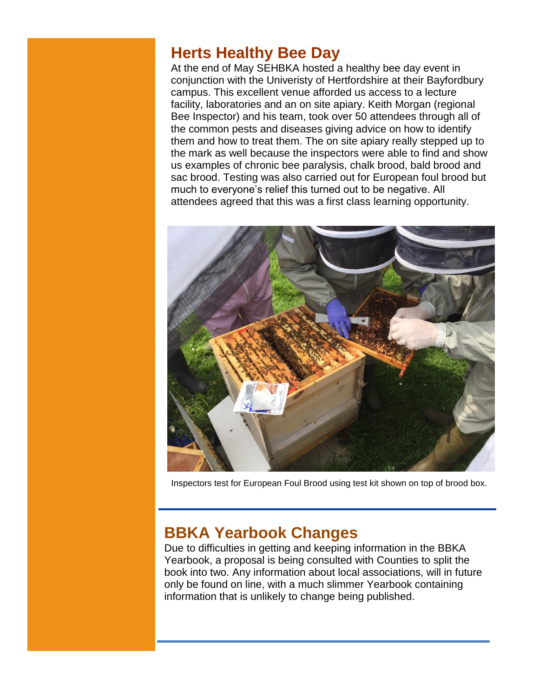### **Herts Healthy Bee Day**

At the end of May SEHBKA hosted a healthy bee day event in conjunction with the Univeristy of Hertfordshire at their Bayfordbury campus. This excellent venue afforded us access to a lecture facility, laboratories and an on site apiary. Keith Morgan (regional Bee Inspector) and his team, took over 50 attendees through all of the common pests and diseases giving advice on how to identify them and how to treat them. The on site apiary really stepped up to the mark as well because the inspectors were able to find and show us examples of chronic bee paralysis, chalk brood, bald brood and sac brood. Testing was also carried out for European foul brood but much to everyone's relief this turned out to be negative. All attendees agreed that this was a first class learning opportunity.



Inspectors test for European Foul Brood using test kit shown on top of brood box.

# **BBKA Yearbook Changes**

Due to difficulties in getting and keeping information in the BBKA Yearbook, a proposal is being consulted with Counties to split the book into two. Any information about local associations, will in future only be found on line, with a much slimmer Yearbook containing information that is unlikely to change being published.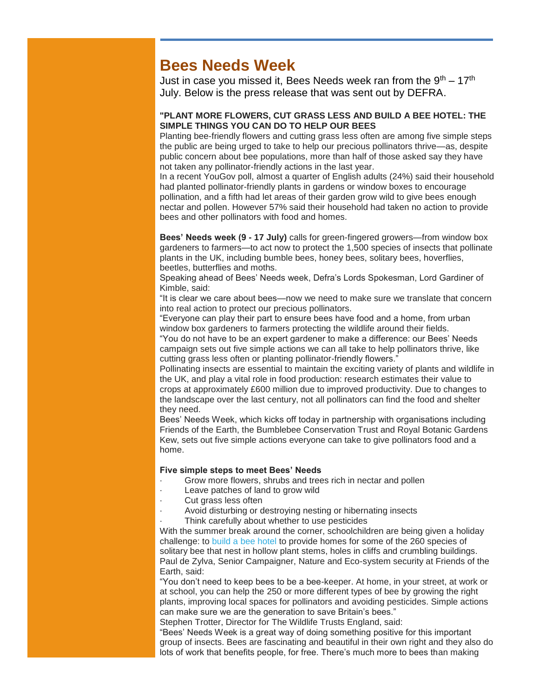### **Bees Needs Week**

Just in case you missed it, Bees Needs week ran from the  $9<sup>th</sup> - 17<sup>th</sup>$ July. Below is the press release that was sent out by DEFRA.

#### "PLANT MORE FLOWERS, CUT GRASS LESS AND BUILD A BEE HOTEL: THE SIMPLE THINGS YOU CAN DO TO HELP OUR BEES

Planting bee-friendly flowers and cutting grass less often are among five simple steps the public are being urged to take to help our precious pollinators thrive—as, despite public concern about bee populations, more than half of those asked say they have not taken any pollinator-friendly actions in the last year.

In a recent YouGov poll, almost a quarter of English adults (24%) said their household had planted pollinator-friendly plants in gardens or window boxes to encourage pollination, and a fifth had let areas of their garden grow wild to give bees enough nectar and pollen. However 57% said their household had taken no action to provide bees and other pollinators with food and homes.

Bees' Needs week (9 - 17 July) calls for green-fingered growers—from window box gardeners to farmers—to act now to protect the 1,500 species of insects that pollinate plants in the UK, including bumble bees, honey bees, solitary bees, hoverflies, beetles, butterflies and moths.

Speaking ahead of Bees' Needs week, Defra's Lords Spokesman, Lord Gardiner of Kimble, said:

"It is clear we care about bees—now we need to make sure we translate that concern into real action to protect our precious pollinators.

"Everyone can play their part to ensure bees have food and a home, from urban window box gardeners to farmers protecting the wildlife around their fields.

"You do not have to be an expert gardener to make a difference: our Bees' Needs campaign sets out five simple actions we can all take to help pollinators thrive, like cutting grass less often or planting pollinator-friendly flowers."

Pollinating insects are essential to maintain the exciting variety of plants and wildlife in the UK, and play a vital role in food production: research estimates their value to crops at approximately £600 million due to improved productivity. Due to changes to the landscape over the last century, not all pollinators can find the food and shelter they need.

Bees' Needs Week, which kicks off today in partnership with organisations including Friends of the Earth, the Bumblebee Conservation Trust and Royal Botanic Gardens Kew, sets out five simple actions everyone can take to give pollinators food and a home.

#### Five simple steps to meet Bees' Needs

- Grow more flowers, shrubs and trees rich in nectar and pollen
- Leave patches of land to grow wild
- Cut grass less often
- Avoid disturbing or destroying nesting or hibernating insects

Think carefully about whether to use pesticides

With the summer break around the corner, schoolchildren are being given a holiday challenge: to [build a bee hotel](http://surreybeekeeper.us2.list-manage.com/track/click?u=1b3026ffe9de637a5feece3be&id=9ecc1622cd&e=dec0c23960) to provide homes for some of the 260 species of solitary bee that nest in hollow plant stems, holes in cliffs and crumbling buildings. Paul de Zylva, Senior Campaigner, Nature and Eco-system security at Friends of the Earth, said:

"You don't need to keep bees to be a bee-keeper. At home, in your street, at work or at school, you can help the 250 or more different types of bee by growing the right plants, improving local spaces for pollinators and avoiding pesticides. Simple actions can make sure we are the generation to save Britain's bees."

Stephen Trotter, Director for The Wildlife Trusts England, said:

"Bees' Needs Week is a great way of doing something positive for this important group of insects. Bees are fascinating and beautiful in their own right and they also do lots of work that benefits people, for free. There's much more to bees than making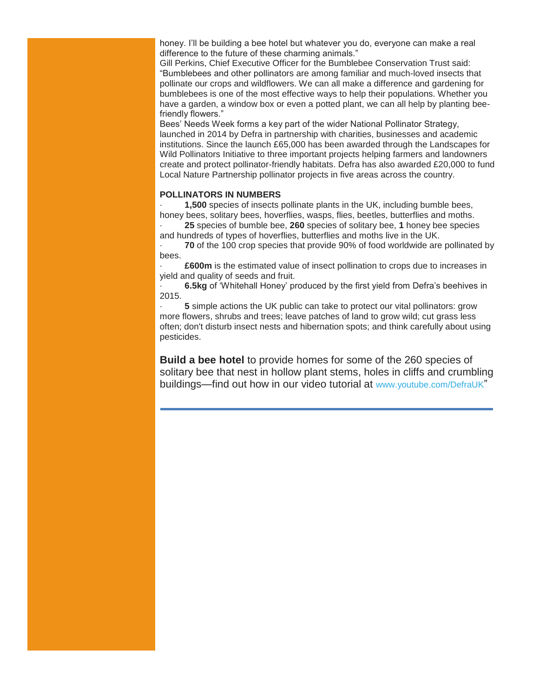honey. I'll be building a bee hotel but whatever you do, everyone can make a real difference to the future of these charming animals."

Gill Perkins, Chief Executive Officer for the Bumblebee Conservation Trust said: "Bumblebees and other pollinators are among familiar and much-loved insects that pollinate our crops and wildflowers. We can all make a difference and gardening for bumblebees is one of the most effective ways to help their populations. Whether you have a garden, a window box or even a potted plant, we can all help by planting beefriendly flowers."

Bees' Needs Week forms a key part of the wider National Pollinator Strategy, launched in 2014 by Defra in partnership with charities, businesses and academic institutions. Since the launch £65,000 has been awarded through the Landscapes for Wild Pollinators Initiative to three important projects helping farmers and landowners create and protect pollinator-friendly habitats. Defra has also awarded £20,000 to fund Local Nature Partnership pollinator projects in five areas across the country.

#### POLLINATORS IN NUMBERS

· 1,500 species of insects pollinate plants in the UK, including bumble bees, honey bees, solitary bees, hoverflies, wasps, flies, beetles, butterflies and moths.

· 25 species of bumble bee, 260 species of solitary bee, 1 honey bee species and hundreds of types of hoverflies, butterflies and moths live in the UK.

· 70 of the 100 crop species that provide 90% of food worldwide are pollinated by bees.

· £600m is the estimated value of insect pollination to crops due to increases in yield and quality of seeds and fruit.

· 6.5kg of 'Whitehall Honey' produced by the first yield from Defra's beehives in 2015.

· 5 simple actions the UK public can take to protect our vital pollinators: grow more flowers, shrubs and trees; leave patches of land to grow wild; cut grass less often; don't disturb insect nests and hibernation spots; and think carefully about using pesticides.

Build a bee hotel to provide homes for some of the 260 species of solitary bee that nest in hollow plant stems, holes in cliffs and crumbling buildings—find out how in our video tutorial at [www.youtube.com/DefraUK](http://surreybeekeeper.us2.list-manage1.com/track/click?u=1b3026ffe9de637a5feece3be&id=e502cc1ac0&e=dec0c23960)"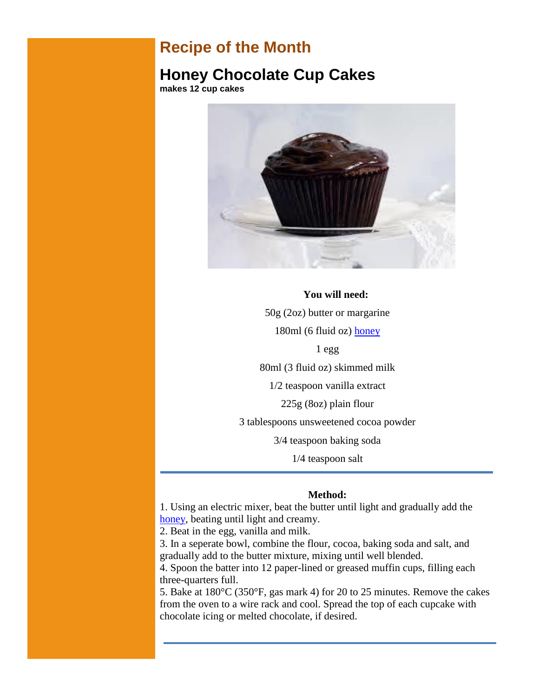### **Recipe of the Month**

### **Honey Chocolate Cup Cakes**

**makes 12 cup cakes**



### **You will need:** 50g (2oz) butter or margarine

180ml (6 fluid oz) [honey](http://www.cornwallhoney.co.uk/honey.htm)

1 egg

80ml (3 fluid oz) skimmed milk

1/2 teaspoon vanilla extract

225g (8oz) plain flour

3 tablespoons unsweetened cocoa powder

3/4 teaspoon baking soda

1/4 teaspoon salt

#### **Method:**

1. Using an electric mixer, beat the butter until light and gradually add the [honey,](http://www.cornwallhoney.co.uk/honey.htm) beating until light and creamy.

2. Beat in the egg, vanilla and milk.

3. In a seperate bowl, combine the flour, cocoa, baking soda and salt, and gradually add to the butter mixture, mixing until well blended.

4. Spoon the batter into 12 paper-lined or greased muffin cups, filling each three-quarters full.

5. Bake at 180°C (350°F, gas mark 4) for 20 to 25 minutes. Remove the cakes from the oven to a wire rack and cool. Spread the top of each cupcake with chocolate icing or melted chocolate, if desired.